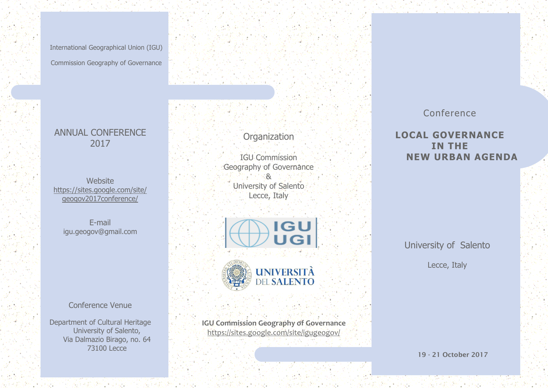International Geographical Union (IGU) Commission Geography of Governance

# ANNUAL CONFERENCE 2017

Website [https://sites.google.com/site/](https://sites.google.com/site/geogov2017conference/) [geogov2017conference/](https://sites.google.com/site/geogov2017conference/)

E-mail igu.geogov@gmail.com

Conference Venue

Department of Cultural Heritage University of Salento, Via Dalmazio Birago, no. 64 73100 Lecce

**Organization** 

IGU Commission Geography of Governance  $-8$ University of Salento Lecce, Italy



**IGU Commission Geography of Governance** <https://sites.google.com/site/igugeogov/>

# Conference

**LOCAL GOVERNANCE IN THE NEW URBAN AGENDA**

University of Salento

Lecce, Italy

**19 - 21 October 2017**